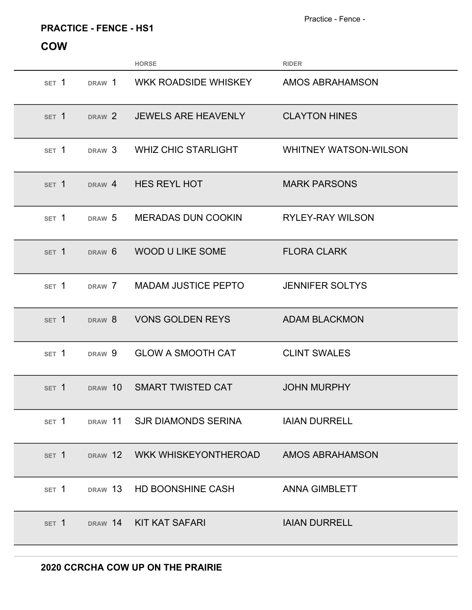## **PRACTICE - FENCE - HS1**

|                  |                   | <b>HORSE</b>                         | <b>RIDER</b>                 |
|------------------|-------------------|--------------------------------------|------------------------------|
| SET <sub>1</sub> | DRAW 1            | <b>WKK ROADSIDE WHISKEY</b>          | <b>AMOS ABRAHAMSON</b>       |
| SET <sub>1</sub> | DRAW 2            | <b>JEWELS ARE HEAVENLY</b>           | <b>CLAYTON HINES</b>         |
| SET 1            | DRAW <sub>3</sub> | <b>WHIZ CHIC STARLIGHT</b>           | <b>WHITNEY WATSON-WILSON</b> |
| SET 1            | DRAW 4            | <b>HES REYL HOT</b>                  | <b>MARK PARSONS</b>          |
| SET 1            | DRAW <sub>5</sub> | <b>MERADAS DUN COOKIN</b>            | <b>RYLEY-RAY WILSON</b>      |
| SET <sub>1</sub> | DRAW 6            | <b>WOOD U LIKE SOME</b>              | <b>FLORA CLARK</b>           |
| SET <sub>1</sub> | DRAW 7            | <b>MADAM JUSTICE PEPTO</b>           | <b>JENNIFER SOLTYS</b>       |
| SET 1            | DRAW <sub>8</sub> | <b>VONS GOLDEN REYS</b>              | <b>ADAM BLACKMON</b>         |
| SET 1            | DRAW 9            | <b>GLOW A SMOOTH CAT</b>             | <b>CLINT SWALES</b>          |
| SET 1            | DRAW 10           | SMART TWISTED CAT                    | <b>JOHN MURPHY</b>           |
| SET 1            |                   | DRAW 11 SJR DIAMONDS SERINA          | <b>IAIAN DURRELL</b>         |
| SET <sub>1</sub> | DRAW 12           | WKK WHISKEYONTHEROAD AMOS ABRAHAMSON |                              |
| SET 1            |                   | DRAW 13 HD BOONSHINE CASH            | <b>ANNA GIMBLETT</b>         |
| SET 1            |                   | DRAW 14 KIT KAT SAFARI               | <b>IAIAN DURRELL</b>         |
|                  |                   |                                      |                              |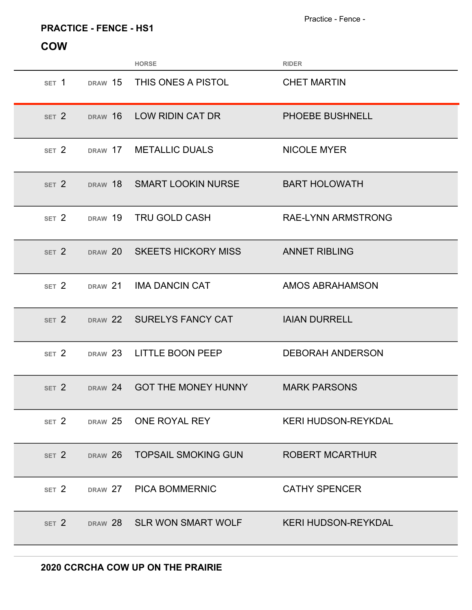### **PRACTICE - FENCE - HS1**

|                  |         | <b>HORSE</b>                                         | <b>RIDER</b>               |
|------------------|---------|------------------------------------------------------|----------------------------|
| SET 1            |         | DRAW 15 THIS ONES A PISTOL                           | <b>CHET MARTIN</b>         |
| SET <sub>2</sub> | DRAW 16 | LOW RIDIN CAT DR                                     | PHOEBE BUSHNELL            |
| SET <sub>2</sub> |         | DRAW 17 METALLIC DUALS                               | <b>NICOLE MYER</b>         |
| SET 2            |         | DRAW 18 SMART LOOKIN NURSE                           | <b>BART HOLOWATH</b>       |
| SET <sub>2</sub> | DRAW 19 | TRU GOLD CASH                                        | <b>RAE-LYNN ARMSTRONG</b>  |
| SET 2            |         | DRAW 20 SKEETS HICKORY MISS                          | <b>ANNET RIBLING</b>       |
| SET <sub>2</sub> |         | DRAW 21 IMA DANCIN CAT                               | AMOS ABRAHAMSON            |
| SET <sub>2</sub> |         | DRAW 22 SURELYS FANCY CAT                            | <b>IAIAN DURRELL</b>       |
| SET 2            |         | DRAW 23 LITTLE BOON PEEP                             | <b>DEBORAH ANDERSON</b>    |
| SET <sub>2</sub> |         | DRAW 24 GOT THE MONEY HUNNY                          | <b>MARK PARSONS</b>        |
|                  |         | SET 2 DRAW 25 ONE ROYAL REY                          | <b>KERI HUDSON-REYKDAL</b> |
|                  |         | SET 2 DRAW 26 TOPSAIL SMOKING GUN ROBERT MCARTHUR    |                            |
|                  |         | SET 2 DRAW 27 PICA BOMMERNIC                         | <b>CATHY SPENCER</b>       |
|                  |         | SET 2 DRAW 28 SLR WON SMART WOLF KERI HUDSON-REYKDAL |                            |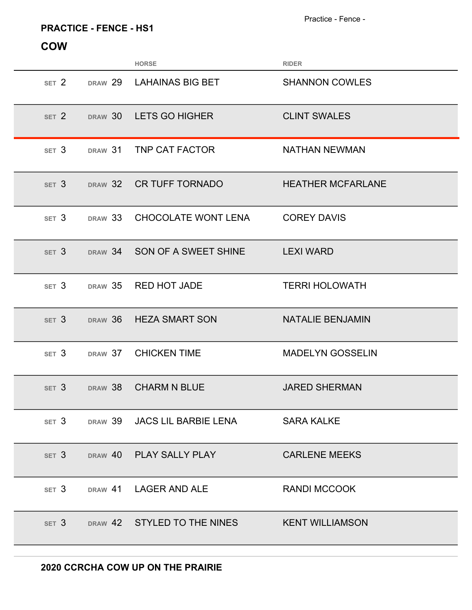#### **PRACTICE - FENCE - HS1**

|                  |         | <b>HORSE</b>                                      | <b>RIDER</b>             |
|------------------|---------|---------------------------------------------------|--------------------------|
|                  |         | SET 2 DRAW 29 LAHAINAS BIG BET                    | <b>SHANNON COWLES</b>    |
|                  |         | SET 2 DRAW 30 LETS GO HIGHER                      | <b>CLINT SWALES</b>      |
| SET <sub>3</sub> |         | <b>DRAW 31 TNP CAT FACTOR</b>                     | <b>NATHAN NEWMAN</b>     |
| SET <sub>3</sub> |         | DRAW 32 CR TUFF TORNADO                           | <b>HEATHER MCFARLANE</b> |
| SET 3            |         | DRAW 33 CHOCOLATE WONT LENA COREY DAVIS           |                          |
| SET <sub>3</sub> |         | DRAW 34 SON OF A SWEET SHINE LEXI WARD            |                          |
| SET <sub>3</sub> | DRAW 35 | <b>RED HOT JADE</b>                               | <b>TERRI HOLOWATH</b>    |
| SET <sub>3</sub> |         | DRAW 36 HEZA SMART SON                            | <b>NATALIE BENJAMIN</b>  |
|                  |         | SET 3 DRAW 37 CHICKEN TIME                        | <b>MADELYN GOSSELIN</b>  |
| SET <sub>3</sub> | DRAW 38 | <b>CHARM N BLUE</b>                               | <b>JARED SHERMAN</b>     |
|                  |         | SET 3 DRAW 39 JACS LIL BARBIE LENA SARA KALKE     |                          |
|                  |         | SET 3 DRAW 40 PLAY SALLY PLAY                     | <b>CARLENE MEEKS</b>     |
|                  |         | SET 3 DRAW 41 LAGER AND ALE                       | <b>RANDI MCCOOK</b>      |
|                  |         | SET 3 DRAW 42 STYLED TO THE NINES KENT WILLIAMSON |                          |